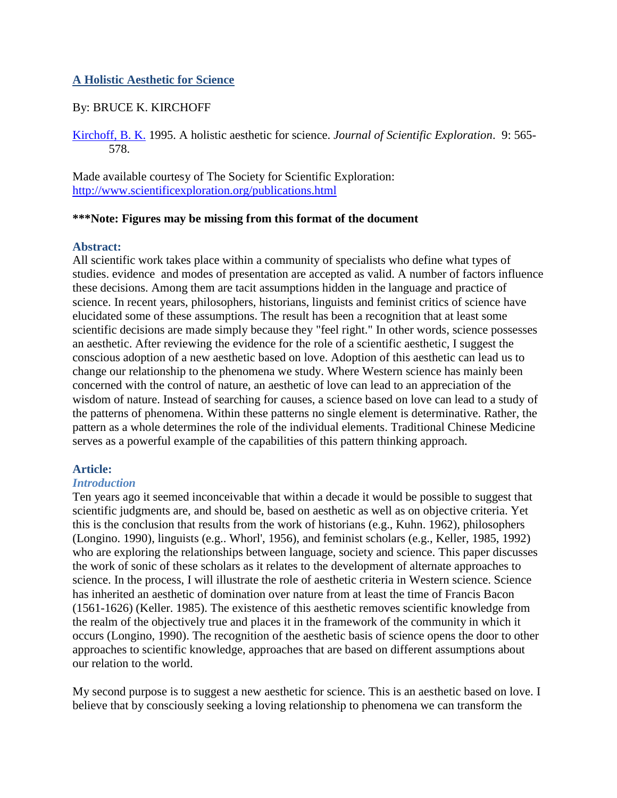# **A Holistic Aesthetic for Science**

# By: BRUCE K. KIRCHOFF

[Kirchoff, B. K.](http://libres.uncg.edu/ir/uncg/clist.aspx?id=522) 1995. A holistic aesthetic for science. *Journal of Scientific Exploration*. 9: 565- 578.

Made available courtesy of The Society for Scientific Exploration: <http://www.scientificexploration.org/publications.html>

#### **\*\*\*Note: Figures may be missing from this format of the document**

## **Abstract:**

All scientific work takes place within a community of specialists who define what types of studies. evidence and modes of presentation are accepted as valid. A number of factors influence these decisions. Among them are tacit assumptions hidden in the language and practice of science. In recent years, philosophers, historians, linguists and feminist critics of science have elucidated some of these assumptions. The result has been a recognition that at least some scientific decisions are made simply because they "feel right." In other words, science possesses an aesthetic. After reviewing the evidence for the role of a scientific aesthetic, I suggest the conscious adoption of a new aesthetic based on love. Adoption of this aesthetic can lead us to change our relationship to the phenomena we study. Where Western science has mainly been concerned with the control of nature, an aesthetic of love can lead to an appreciation of the wisdom of nature. Instead of searching for causes, a science based on love can lead to a study of the patterns of phenomena. Within these patterns no single element is determinative. Rather, the pattern as a whole determines the role of the individual elements. Traditional Chinese Medicine serves as a powerful example of the capabilities of this pattern thinking approach.

## **Article:**

#### *Introduction*

Ten years ago it seemed inconceivable that within a decade it would be possible to suggest that scientific judgments are, and should be, based on aesthetic as well as on objective criteria. Yet this is the conclusion that results from the work of historians (e.g., Kuhn. 1962), philosophers (Longino. 1990), linguists (e.g.. Whorl', 1956), and feminist scholars (e.g., Keller, 1985, 1992) who are exploring the relationships between language, society and science. This paper discusses the work of sonic of these scholars as it relates to the development of alternate approaches to science. In the process, I will illustrate the role of aesthetic criteria in Western science. Science has inherited an aesthetic of domination over nature from at least the time of Francis Bacon (1561-1626) (Keller. 1985). The existence of this aesthetic removes scientific knowledge from the realm of the objectively true and places it in the framework of the community in which it occurs (Longino, 1990). The recognition of the aesthetic basis of science opens the door to other approaches to scientific knowledge, approaches that are based on different assumptions about our relation to the world.

My second purpose is to suggest a new aesthetic for science. This is an aesthetic based on love. I believe that by consciously seeking a loving relationship to phenomena we can transform the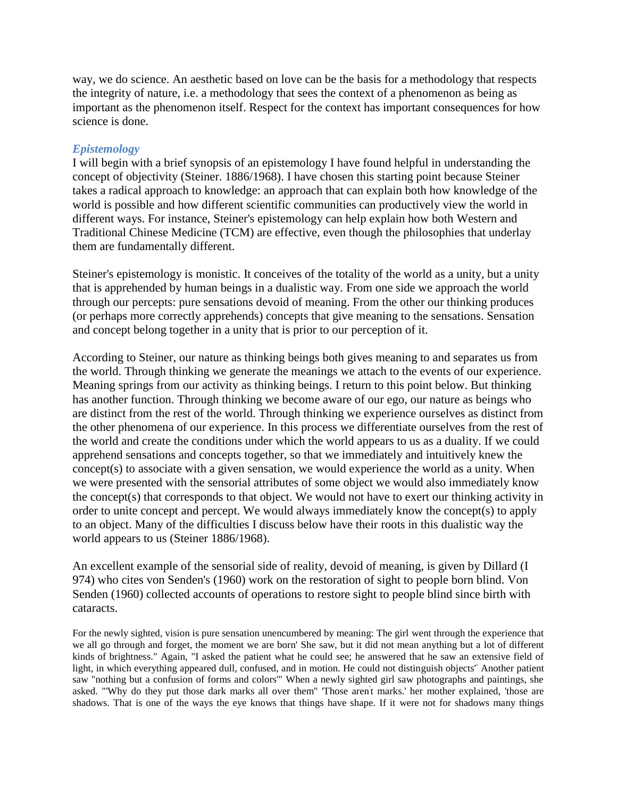way, we do science. An aesthetic based on love can be the basis for a methodology that respects the integrity of nature, i.e. a methodology that sees the context of a phenomenon as being as important as the phenomenon itself. Respect for the context has important consequences for how science is done.

#### *Epistemology*

I will begin with a brief synopsis of an epistemology I have found helpful in understanding the concept of objectivity (Steiner. 1886/1968). I have chosen this starting point because Steiner takes a radical approach to knowledge: an approach that can explain both how knowledge of the world is possible and how different scientific communities can productively view the world in different ways. For instance, Steiner's epistemology can help explain how both Western and Traditional Chinese Medicine (TCM) are effective, even though the philosophies that underlay them are fundamentally different.

Steiner's epistemology is monistic. It conceives of the totality of the world as a unity, but a unity that is apprehended by human beings in a dualistic way. From one side we approach the world through our percepts: pure sensations devoid of meaning. From the other our thinking produces (or perhaps more correctly apprehends) concepts that give meaning to the sensations. Sensation and concept belong together in a unity that is prior to our perception of it.

According to Steiner, our nature as thinking beings both gives meaning to and separates us from the world. Through thinking we generate the meanings we attach to the events of our experience. Meaning springs from our activity as thinking beings. I return to this point below. But thinking has another function. Through thinking we become aware of our ego, our nature as beings who are distinct from the rest of the world. Through thinking we experience ourselves as distinct from the other phenomena of our experience. In this process we differentiate ourselves from the rest of the world and create the conditions under which the world appears to us as a duality. If we could apprehend sensations and concepts together, so that we immediately and intuitively knew the concept(s) to associate with a given sensation, we would experience the world as a unity. When we were presented with the sensorial attributes of some object we would also immediately know the concept(s) that corresponds to that object. We would not have to exert our thinking activity in order to unite concept and percept. We would always immediately know the concept(s) to apply to an object. Many of the difficulties I discuss below have their roots in this dualistic way the world appears to us (Steiner 1886/1968).

An excellent example of the sensorial side of reality, devoid of meaning, is given by Dillard (I 974) who cites von Senden's (1960) work on the restoration of sight to people born blind. Von Senden (1960) collected accounts of operations to restore sight to people blind since birth with cataracts.

For the newly sighted, vision is pure sensation unencumbered by meaning: The girl went through the experience that we all go through and forget, the moment we are born' She saw, but it did not mean anything but a lot of different kinds of brightness." Again, "I asked the patient what he could see; he answered that he saw an extensive field of light, in which everything appeared dull, confused, and in motion. He could not distinguish objects' Another patient saw "nothing but a confusion of forms and colors'" When a newly sighted girl saw photographs and paintings, she asked. "'Why do they put those dark marks all over them'' 'Those aren' t marks.' her mother explained, 'those are shadows. That is one of the ways the eye knows that things have shape. If it were not for shadows many things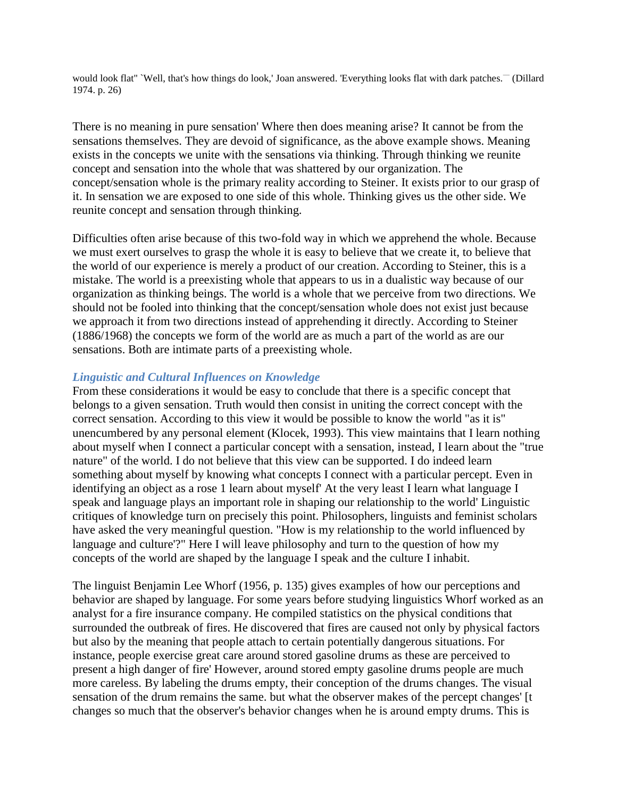would look flat" 'Well, that's how things do look,' Joan answered. 'Everything looks flat with dark patches.<sup>-</sup> (Dillard 1974. p. 26)

There is no meaning in pure sensation' Where then does meaning arise? It cannot be from the sensations themselves. They are devoid of significance, as the above example shows. Meaning exists in the concepts we unite with the sensations via thinking. Through thinking we reunite concept and sensation into the whole that was shattered by our organization. The concept/sensation whole is the primary reality according to Steiner. It exists prior to our grasp of it. In sensation we are exposed to one side of this whole. Thinking gives us the other side. We reunite concept and sensation through thinking.

Difficulties often arise because of this two-fold way in which we apprehend the whole. Because we must exert ourselves to grasp the whole it is easy to believe that we create it, to believe that the world of our experience is merely a product of our creation. According to Steiner, this is a mistake. The world is a preexisting whole that appears to us in a dualistic way because of our organization as thinking beings. The world is a whole that we perceive from two directions. We should not be fooled into thinking that the concept/sensation whole does not exist just because we approach it from two directions instead of apprehending it directly. According to Steiner (1886/1968) the concepts we form of the world are as much a part of the world as are our sensations. Both are intimate parts of a preexisting whole.

## *Linguistic and Cultural Influences on Knowledge*

From these considerations it would be easy to conclude that there is a specific concept that belongs to a given sensation. Truth would then consist in uniting the correct concept with the correct sensation. According to this view it would be possible to know the world "as it is" unencumbered by any personal element (Klocek, 1993). This view maintains that I learn nothing about myself when I connect a particular concept with a sensation, instead, I learn about the "true nature" of the world. I do not believe that this view can be supported. I do indeed learn something about myself by knowing what concepts I connect with a particular percept. Even in identifying an object as a rose 1 learn about myself' At the very least I learn what language I speak and language plays an important role in shaping our relationship to the world' Linguistic critiques of knowledge turn on precisely this point. Philosophers, linguists and feminist scholars have asked the very meaningful question. "How is my relationship to the world influenced by language and culture'?" Here I will leave philosophy and turn to the question of how my concepts of the world are shaped by the language I speak and the culture I inhabit.

The linguist Benjamin Lee Whorf (1956, p. 135) gives examples of how our perceptions and behavior are shaped by language. For some years before studying linguistics Whorf worked as an analyst for a fire insurance company. He compiled statistics on the physical conditions that surrounded the outbreak of fires. He discovered that fires are caused not only by physical factors but also by the meaning that people attach to certain potentially dangerous situations. For instance, people exercise great care around stored gasoline drums as these are perceived to present a high danger of fire' However, around stored empty gasoline drums people are much more careless. By labeling the drums empty, their conception of the drums changes. The visual sensation of the drum remains the same. but what the observer makes of the percept changes' [t changes so much that the observer's behavior changes when he is around empty drums. This is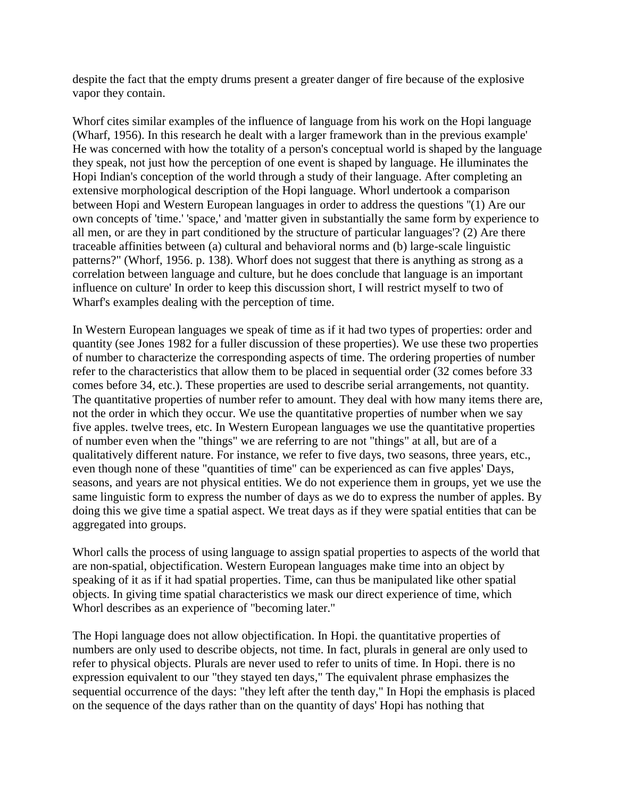despite the fact that the empty drums present a greater danger of fire because of the explosive vapor they contain.

Whorf cites similar examples of the influence of language from his work on the Hopi language (Wharf, 1956). In this research he dealt with a larger framework than in the previous example' He was concerned with how the totality of a person's conceptual world is shaped by the language they speak, not just how the perception of one event is shaped by language. He illuminates the Hopi Indian's conception of the world through a study of their language. After completing an extensive morphological description of the Hopi language. Whorl undertook a comparison between Hopi and Western European languages in order to address the questions ''(1) Are our own concepts of 'time.' 'space,' and 'matter given in substantially the same form by experience to all men, or are they in part conditioned by the structure of particular languages'? (2) Are there traceable affinities between (a) cultural and behavioral norms and (b) large-scale linguistic patterns?" (Whorf, 1956. p. 138). Whorf does not suggest that there is anything as strong as a correlation between language and culture, but he does conclude that language is an important influence on culture' In order to keep this discussion short, I will restrict myself to two of Wharf's examples dealing with the perception of time.

In Western European languages we speak of time as if it had two types of properties: order and quantity (see Jones 1982 for a fuller discussion of these properties). We use these two properties of number to characterize the corresponding aspects of time. The ordering properties of number refer to the characteristics that allow them to be placed in sequential order (32 comes before 33 comes before 34, etc.). These properties are used to describe serial arrangements, not quantity. The quantitative properties of number refer to amount. They deal with how many items there are, not the order in which they occur. We use the quantitative properties of number when we say five apples. twelve trees, etc. In Western European languages we use the quantitative properties of number even when the "things" we are referring to are not "things" at all, but are of a qualitatively different nature. For instance, we refer to five days, two seasons, three years, etc., even though none of these "quantities of time" can be experienced as can five apples' Days, seasons, and years are not physical entities. We do not experience them in groups, yet we use the same linguistic form to express the number of days as we do to express the number of apples. By doing this we give time a spatial aspect. We treat days as if they were spatial entities that can be aggregated into groups.

Whorl calls the process of using language to assign spatial properties to aspects of the world that are non-spatial, objectification. Western European languages make time into an object by speaking of it as if it had spatial properties. Time, can thus be manipulated like other spatial objects. In giving time spatial characteristics we mask our direct experience of time, which Whorl describes as an experience of "becoming later."

The Hopi language does not allow objectification. In Hopi. the quantitative properties of numbers are only used to describe objects, not time. In fact, plurals in general are only used to refer to physical objects. Plurals are never used to refer to units of time. In Hopi. there is no expression equivalent to our "they stayed ten days," The equivalent phrase emphasizes the sequential occurrence of the days: "they left after the tenth day," In Hopi the emphasis is placed on the sequence of the days rather than on the quantity of days' Hopi has nothing that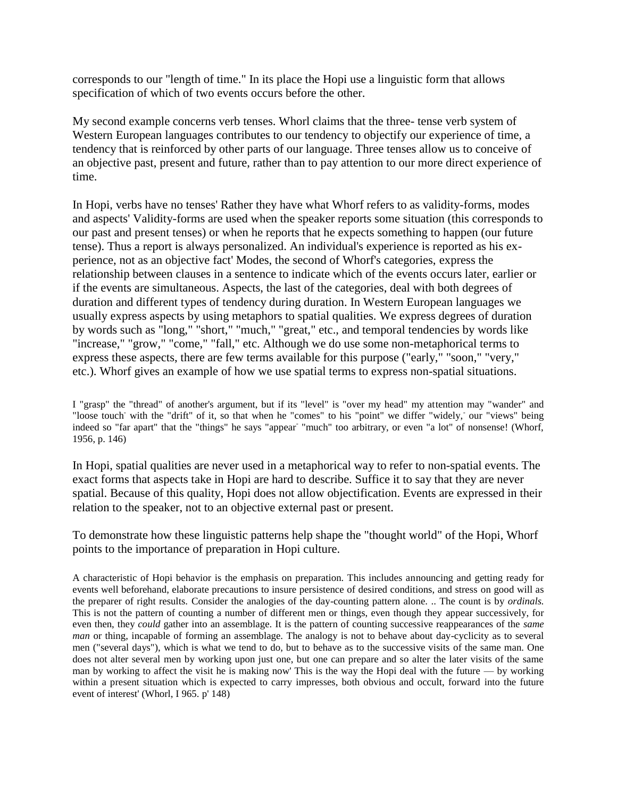corresponds to our "length of time." In its place the Hopi use a linguistic form that allows specification of which of two events occurs before the other.

My second example concerns verb tenses. Whorl claims that the three- tense verb system of Western European languages contributes to our tendency to objectify our experience of time, a tendency that is reinforced by other parts of our language. Three tenses allow us to conceive of an objective past, present and future, rather than to pay attention to our more direct experience of time.

In Hopi, verbs have no tenses' Rather they have what Whorf refers to as validity-forms, modes and aspects' Validity-forms are used when the speaker reports some situation (this corresponds to our past and present tenses) or when he reports that he expects something to happen (our future tense). Thus a report is always personalized. An individual's experience is reported as his experience, not as an objective fact' Modes, the second of Whorf's categories, express the relationship between clauses in a sentence to indicate which of the events occurs later, earlier or if the events are simultaneous. Aspects, the last of the categories, deal with both degrees of duration and different types of tendency during duration. In Western European languages we usually express aspects by using metaphors to spatial qualities. We express degrees of duration by words such as "long," "short," "much," "great," etc., and temporal tendencies by words like "increase," "grow," "come," "fall," etc. Although we do use some non-metaphorical terms to express these aspects, there are few terms available for this purpose ("early," "soon," "very," etc.). Whorf gives an example of how we use spatial terms to express non-spatial situations.

I "grasp" the "thread" of another's argument, but if its "level" is "over my head" my attention may "wander" and "loose touch with the "drift" of it, so that when he "comes" to his "point" we differ "widely, our "views" being indeed so "far apart" that the "things" he says "appear<sup>-</sup> "much" too arbitrary, or even "a lot" of nonsense! (Whorf, 1956, p. 146)

In Hopi, spatial qualities are never used in a metaphorical way to refer to non-spatial events. The exact forms that aspects take in Hopi are hard to describe. Suffice it to say that they are never spatial. Because of this quality, Hopi does not allow objectification. Events are expressed in their relation to the speaker, not to an objective external past or present.

To demonstrate how these linguistic patterns help shape the "thought world" of the Hopi, Whorf points to the importance of preparation in Hopi culture.

A characteristic of Hopi behavior is the emphasis on preparation. This includes announcing and getting ready for events well beforehand, elaborate precautions to insure persistence of desired conditions, and stress on good will as the preparer of right results. Consider the analogies of the day-counting pattern alone. .. The count is by *ordinals.*  This is not the pattern of counting a number of different men or things, even though they appear successively, for even then, they *could* gather into an assemblage. It is the pattern of counting successive reappearances of the *same man* or thing, incapable of forming an assemblage. The analogy is not to behave about day-cyclicity as to several men ("several days"), which is what we tend to do, but to behave as to the successive visits of the same man. One does not alter several men by working upon just one, but one can prepare and so alter the later visits of the same man by working to affect the visit he is making now' This is the way the Hopi deal with the future — by working within a present situation which is expected to carry impresses, both obvious and occult, forward into the future event of interest' (Whorl, I 965. p' 148)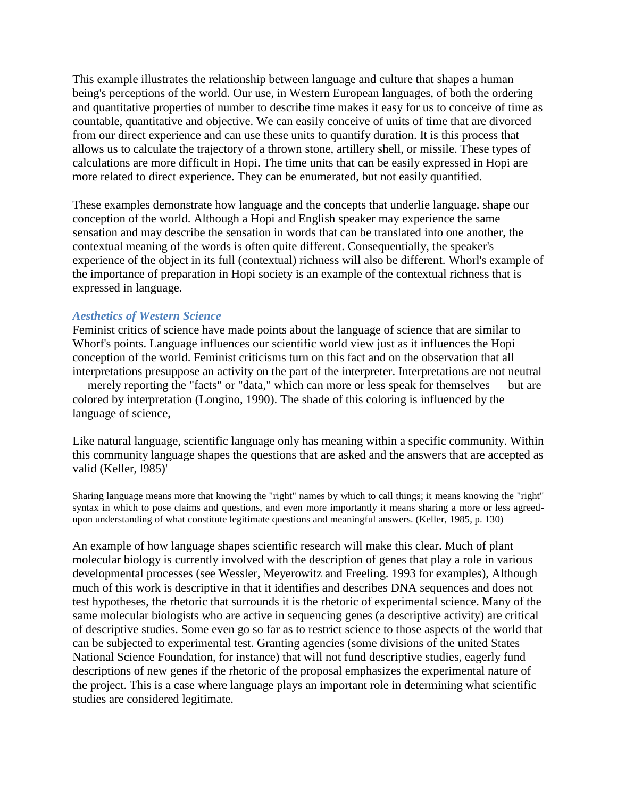This example illustrates the relationship between language and culture that shapes a human being's perceptions of the world. Our use, in Western European languages, of both the ordering and quantitative properties of number to describe time makes it easy for us to conceive of time as countable, quantitative and objective. We can easily conceive of units of time that are divorced from our direct experience and can use these units to quantify duration. It is this process that allows us to calculate the trajectory of a thrown stone, artillery shell, or missile. These types of calculations are more difficult in Hopi. The time units that can be easily expressed in Hopi are more related to direct experience. They can be enumerated, but not easily quantified.

These examples demonstrate how language and the concepts that underlie language. shape our conception of the world. Although a Hopi and English speaker may experience the same sensation and may describe the sensation in words that can be translated into one another, the contextual meaning of the words is often quite different. Consequentially, the speaker's experience of the object in its full (contextual) richness will also be different. Whorl's example of the importance of preparation in Hopi society is an example of the contextual richness that is expressed in language.

## *Aesthetics of Western Science*

Feminist critics of science have made points about the language of science that are similar to Whorf's points. Language influences our scientific world view just as it influences the Hopi conception of the world. Feminist criticisms turn on this fact and on the observation that all interpretations presuppose an activity on the part of the interpreter. Interpretations are not neutral — merely reporting the "facts" or "data," which can more or less speak for themselves — but are colored by interpretation (Longino, 1990). The shade of this coloring is influenced by the language of science,

Like natural language, scientific language only has meaning within a specific community. Within this community language shapes the questions that are asked and the answers that are accepted as valid (Keller, l985)'

Sharing language means more that knowing the "right" names by which to call things; it means knowing the "right" syntax in which to pose claims and questions, and even more importantly it means sharing a more or less agreedupon understanding of what constitute legitimate questions and meaningful answers. (Keller, 1985, p. 130)

An example of how language shapes scientific research will make this clear. Much of plant molecular biology is currently involved with the description of genes that play a role in various developmental processes (see Wessler, Meyerowitz and Freeling. 1993 for examples), Although much of this work is descriptive in that it identifies and describes DNA sequences and does not test hypotheses, the rhetoric that surrounds it is the rhetoric of experimental science. Many of the same molecular biologists who are active in sequencing genes (a descriptive activity) are critical of descriptive studies. Some even go so far as to restrict science to those aspects of the world that can be subjected to experimental test. Granting agencies (some divisions of the united States National Science Foundation, for instance) that will not fund descriptive studies, eagerly fund descriptions of new genes if the rhetoric of the proposal emphasizes the experimental nature of the project. This is a case where language plays an important role in determining what scientific studies are considered legitimate.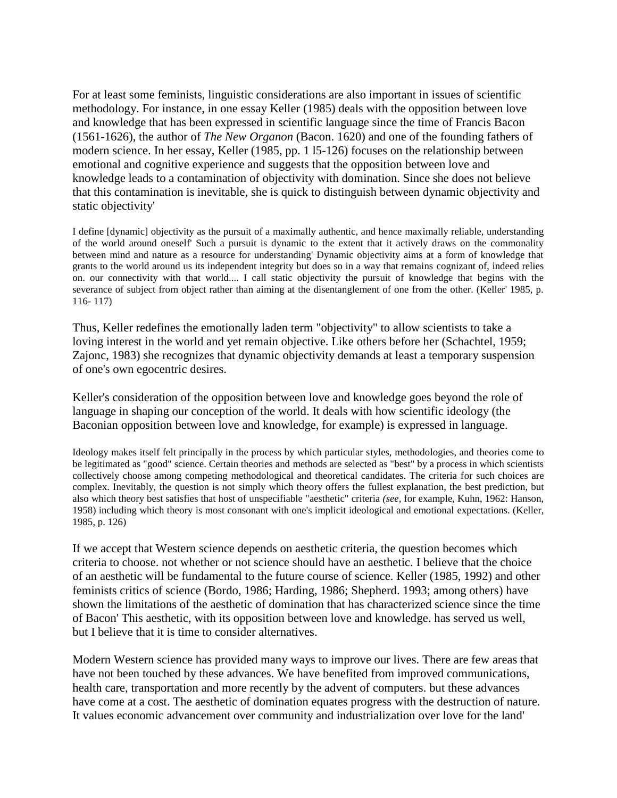For at least some feminists, linguistic considerations are also important in issues of scientific methodology. For instance, in one essay Keller (1985) deals with the opposition between love and knowledge that has been expressed in scientific language since the time of Francis Bacon (1561-1626), the author of *The New Organon* (Bacon. 1620) and one of the founding fathers of modern science. In her essay, Keller (1985, pp. 1 l5-126) focuses on the relationship between emotional and cognitive experience and suggests that the opposition between love and knowledge leads to a contamination of objectivity with domination. Since she does not believe that this contamination is inevitable, she is quick to distinguish between dynamic objectivity and static objectivity'

I define [dynamic] objectivity as the pursuit of a maximally authentic, and hence maximally reliable, understanding of the world around oneself' Such a pursuit is dynamic to the extent that it actively draws on the commonality between mind and nature as a resource for understanding' Dynamic objectivity aims at a form of knowledge that grants to the world around us its independent integrity but does so in a way that remains cognizant of, indeed relies on. our connectivity with that world.... I call static objectivity the pursuit of knowledge that begins with the severance of subject from object rather than aiming at the disentanglement of one from the other. (Keller' 1985, p. 116- 117)

Thus, Keller redefines the emotionally laden term "objectivity" to allow scientists to take a loving interest in the world and yet remain objective. Like others before her (Schachtel, 1959; Zajonc, 1983) she recognizes that dynamic objectivity demands at least a temporary suspension of one's own egocentric desires.

Keller's consideration of the opposition between love and knowledge goes beyond the role of language in shaping our conception of the world. It deals with how scientific ideology (the Baconian opposition between love and knowledge, for example) is expressed in language.

Ideology makes itself felt principally in the process by which particular styles, methodologies, and theories come to be legitimated as "good" science. Certain theories and methods are selected as "best" by a process in which scientists collectively choose among competing methodological and theoretical candidates. The criteria for such choices are complex. Inevitably, the question is not simply which theory offers the fullest explanation, the best prediction, but also which theory best satisfies that host of unspecifiable "aesthetic" criteria *(see,* for example, Kuhn, 1962: Hanson, 1958) including which theory is most consonant with one's implicit ideological and emotional expectations. (Keller, 1985, p. 126)

If we accept that Western science depends on aesthetic criteria, the question becomes which criteria to choose. not whether or not science should have an aesthetic. I believe that the choice of an aesthetic will be fundamental to the future course of science. Keller (1985, 1992) and other feminists critics of science (Bordo, 1986; Harding, 1986; Shepherd. 1993; among others) have shown the limitations of the aesthetic of domination that has characterized science since the time of Bacon' This aesthetic, with its opposition between love and knowledge. has served us well, but I believe that it is time to consider alternatives.

Modern Western science has provided many ways to improve our lives. There are few areas that have not been touched by these advances. We have benefited from improved communications, health care, transportation and more recently by the advent of computers. but these advances have come at a cost. The aesthetic of domination equates progress with the destruction of nature. It values economic advancement over community and industrialization over love for the land'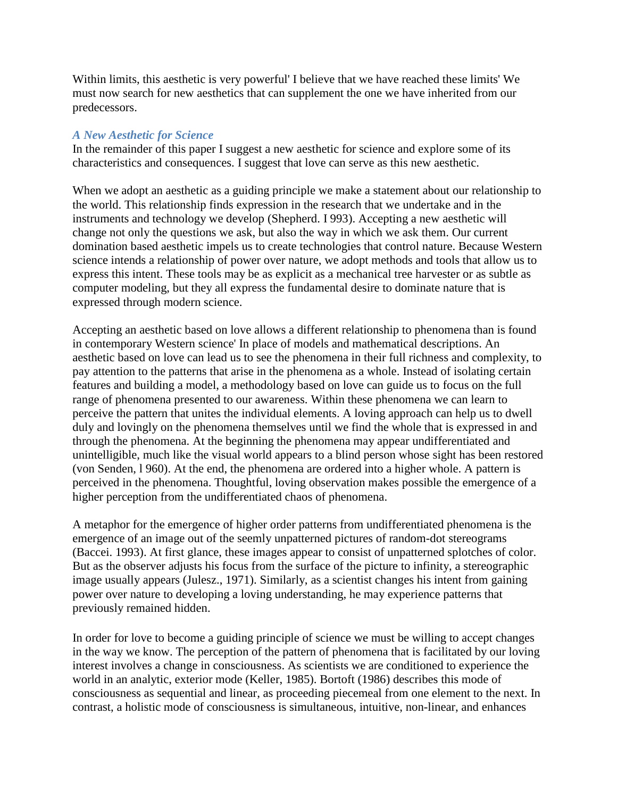Within limits, this aesthetic is very powerful' I believe that we have reached these limits' We must now search for new aesthetics that can supplement the one we have inherited from our predecessors.

## *A New Aesthetic for Science*

In the remainder of this paper I suggest a new aesthetic for science and explore some of its characteristics and consequences. I suggest that love can serve as this new aesthetic.

When we adopt an aesthetic as a guiding principle we make a statement about our relationship to the world. This relationship finds expression in the research that we undertake and in the instruments and technology we develop (Shepherd. I 993). Accepting a new aesthetic will change not only the questions we ask, but also the way in which we ask them. Our current domination based aesthetic impels us to create technologies that control nature. Because Western science intends a relationship of power over nature, we adopt methods and tools that allow us to express this intent. These tools may be as explicit as a mechanical tree harvester or as subtle as computer modeling, but they all express the fundamental desire to dominate nature that is expressed through modern science.

Accepting an aesthetic based on love allows a different relationship to phenomena than is found in contemporary Western science' In place of models and mathematical descriptions. An aesthetic based on love can lead us to see the phenomena in their full richness and complexity, to pay attention to the patterns that arise in the phenomena as a whole. Instead of isolating certain features and building a model, a methodology based on love can guide us to focus on the full range of phenomena presented to our awareness. Within these phenomena we can learn to perceive the pattern that unites the individual elements. A loving approach can help us to dwell duly and lovingly on the phenomena themselves until we find the whole that is expressed in and through the phenomena. At the beginning the phenomena may appear undifferentiated and unintelligible, much like the visual world appears to a blind person whose sight has been restored (von Senden, l 960). At the end, the phenomena are ordered into a higher whole. A pattern is perceived in the phenomena. Thoughtful, loving observation makes possible the emergence of a higher perception from the undifferentiated chaos of phenomena.

A metaphor for the emergence of higher order patterns from undifferentiated phenomena is the emergence of an image out of the seemly unpatterned pictures of random-dot stereograms (Baccei. 1993). At first glance, these images appear to consist of unpatterned splotches of color. But as the observer adjusts his focus from the surface of the picture to infinity, a stereographic image usually appears (Julesz., 1971). Similarly, as a scientist changes his intent from gaining power over nature to developing a loving understanding, he may experience patterns that previously remained hidden.

In order for love to become a guiding principle of science we must be willing to accept changes in the way we know. The perception of the pattern of phenomena that is facilitated by our loving interest involves a change in consciousness. As scientists we are conditioned to experience the world in an analytic, exterior mode (Keller, 1985). Bortoft (1986) describes this mode of consciousness as sequential and linear, as proceeding piecemeal from one element to the next. In contrast, a holistic mode of consciousness is simultaneous, intuitive, non-linear, and enhances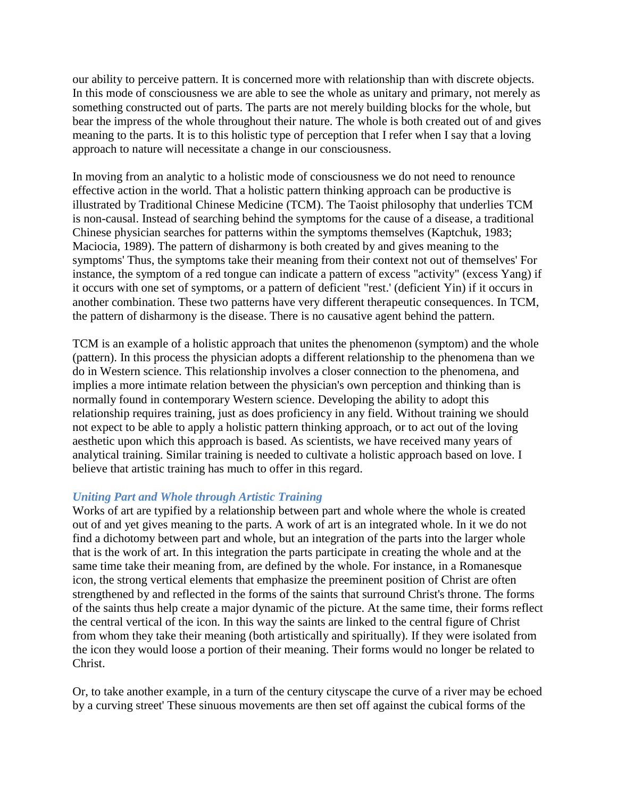our ability to perceive pattern. It is concerned more with relationship than with discrete objects. In this mode of consciousness we are able to see the whole as unitary and primary, not merely as something constructed out of parts. The parts are not merely building blocks for the whole, but bear the impress of the whole throughout their nature. The whole is both created out of and gives meaning to the parts. It is to this holistic type of perception that I refer when I say that a loving approach to nature will necessitate a change in our consciousness.

In moving from an analytic to a holistic mode of consciousness we do not need to renounce effective action in the world. That a holistic pattern thinking approach can be productive is illustrated by Traditional Chinese Medicine (TCM). The Taoist philosophy that underlies TCM is non-causal. Instead of searching behind the symptoms for the cause of a disease, a traditional Chinese physician searches for patterns within the symptoms themselves (Kaptchuk, 1983; Maciocia, 1989). The pattern of disharmony is both created by and gives meaning to the symptoms' Thus, the symptoms take their meaning from their context not out of themselves' For instance, the symptom of a red tongue can indicate a pattern of excess "activity" (excess Yang) if it occurs with one set of symptoms, or a pattern of deficient "rest.' (deficient Yin) if it occurs in another combination. These two patterns have very different therapeutic consequences. In TCM, the pattern of disharmony is the disease. There is no causative agent behind the pattern.

TCM is an example of a holistic approach that unites the phenomenon (symptom) and the whole (pattern). In this process the physician adopts a different relationship to the phenomena than we do in Western science. This relationship involves a closer connection to the phenomena, and implies a more intimate relation between the physician's own perception and thinking than is normally found in contemporary Western science. Developing the ability to adopt this relationship requires training, just as does proficiency in any field. Without training we should not expect to be able to apply a holistic pattern thinking approach, or to act out of the loving aesthetic upon which this approach is based. As scientists, we have received many years of analytical training. Similar training is needed to cultivate a holistic approach based on love. I believe that artistic training has much to offer in this regard.

## *Uniting Part and Whole through Artistic Training*

Works of art are typified by a relationship between part and whole where the whole is created out of and yet gives meaning to the parts. A work of art is an integrated whole. In it we do not find a dichotomy between part and whole, but an integration of the parts into the larger whole that is the work of art. In this integration the parts participate in creating the whole and at the same time take their meaning from, are defined by the whole. For instance, in a Romanesque icon, the strong vertical elements that emphasize the preeminent position of Christ are often strengthened by and reflected in the forms of the saints that surround Christ's throne. The forms of the saints thus help create a major dynamic of the picture. At the same time, their forms reflect the central vertical of the icon. In this way the saints are linked to the central figure of Christ from whom they take their meaning (both artistically and spiritually). If they were isolated from the icon they would loose a portion of their meaning. Their forms would no longer be related to Christ.

Or, to take another example, in a turn of the century cityscape the curve of a river may be echoed by a curving street' These sinuous movements are then set off against the cubical forms of the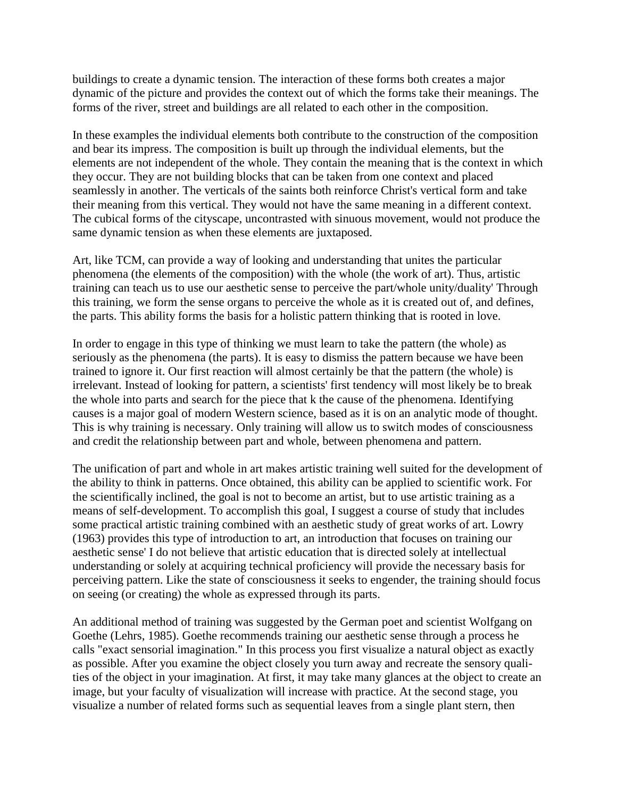buildings to create a dynamic tension. The interaction of these forms both creates a major dynamic of the picture and provides the context out of which the forms take their meanings. The forms of the river, street and buildings are all related to each other in the composition.

In these examples the individual elements both contribute to the construction of the composition and bear its impress. The composition is built up through the individual elements, but the elements are not independent of the whole. They contain the meaning that is the context in which they occur. They are not building blocks that can be taken from one context and placed seamlessly in another. The verticals of the saints both reinforce Christ's vertical form and take their meaning from this vertical. They would not have the same meaning in a different context. The cubical forms of the cityscape, uncontrasted with sinuous movement, would not produce the same dynamic tension as when these elements are juxtaposed.

Art, like TCM, can provide a way of looking and understanding that unites the particular phenomena (the elements of the composition) with the whole (the work of art). Thus, artistic training can teach us to use our aesthetic sense to perceive the part/whole unity/duality' Through this training, we form the sense organs to perceive the whole as it is created out of, and defines, the parts. This ability forms the basis for a holistic pattern thinking that is rooted in love.

In order to engage in this type of thinking we must learn to take the pattern (the whole) as seriously as the phenomena (the parts). It is easy to dismiss the pattern because we have been trained to ignore it. Our first reaction will almost certainly be that the pattern (the whole) is irrelevant. Instead of looking for pattern, a scientists' first tendency will most likely be to break the whole into parts and search for the piece that k the cause of the phenomena. Identifying causes is a major goal of modern Western science, based as it is on an analytic mode of thought. This is why training is necessary. Only training will allow us to switch modes of consciousness and credit the relationship between part and whole, between phenomena and pattern.

The unification of part and whole in art makes artistic training well suited for the development of the ability to think in patterns. Once obtained, this ability can be applied to scientific work. For the scientifically inclined, the goal is not to become an artist, but to use artistic training as a means of self-development. To accomplish this goal, I suggest a course of study that includes some practical artistic training combined with an aesthetic study of great works of art. Lowry (1963) provides this type of introduction to art, an introduction that focuses on training our aesthetic sense' I do not believe that artistic education that is directed solely at intellectual understanding or solely at acquiring technical proficiency will provide the necessary basis for perceiving pattern. Like the state of consciousness it seeks to engender, the training should focus on seeing (or creating) the whole as expressed through its parts.

An additional method of training was suggested by the German poet and scientist Wolfgang on Goethe (Lehrs, 1985). Goethe recommends training our aesthetic sense through a process he calls "exact sensorial imagination." In this process you first visualize a natural object as exactly as possible. After you examine the object closely you turn away and recreate the sensory qualities of the object in your imagination. At first, it may take many glances at the object to create an image, but your faculty of visualization will increase with practice. At the second stage, you visualize a number of related forms such as sequential leaves from a single plant stern, then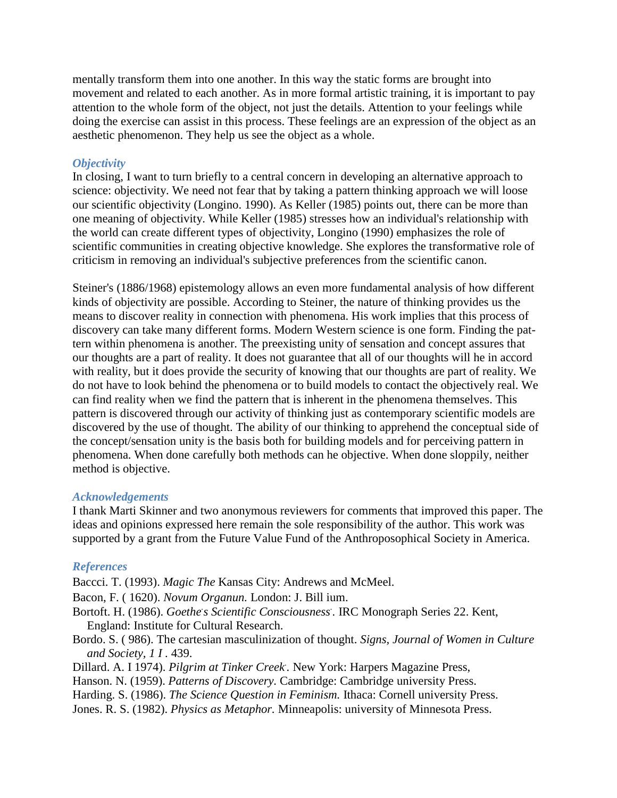mentally transform them into one another. In this way the static forms are brought into movement and related to each another. As in more formal artistic training, it is important to pay attention to the whole form of the object, not just the details. Attention to your feelings while doing the exercise can assist in this process. These feelings are an expression of the object as an aesthetic phenomenon. They help us see the object as a whole.

## *Objectivity*

In closing, I want to turn briefly to a central concern in developing an alternative approach to science: objectivity. We need not fear that by taking a pattern thinking approach we will loose our scientific objectivity (Longino. 1990). As Keller (1985) points out, there can be more than one meaning of objectivity. While Keller (1985) stresses how an individual's relationship with the world can create different types of objectivity, Longino (1990) emphasizes the role of scientific communities in creating objective knowledge. She explores the transformative role of criticism in removing an individual's subjective preferences from the scientific canon.

Steiner's (1886/1968) epistemology allows an even more fundamental analysis of how different kinds of objectivity are possible. According to Steiner, the nature of thinking provides us the means to discover reality in connection with phenomena. His work implies that this process of discovery can take many different forms. Modern Western science is one form. Finding the pattern within phenomena is another. The preexisting unity of sensation and concept assures that our thoughts are a part of reality. It does not guarantee that all of our thoughts will he in accord with reality, but it does provide the security of knowing that our thoughts are part of reality. We do not have to look behind the phenomena or to build models to contact the objectively real. We can find reality when we find the pattern that is inherent in the phenomena themselves. This pattern is discovered through our activity of thinking just as contemporary scientific models are discovered by the use of thought. The ability of our thinking to apprehend the conceptual side of the concept/sensation unity is the basis both for building models and for perceiving pattern in phenomena. When done carefully both methods can he objective. When done sloppily, neither method is objective.

## *Acknowledgements*

I thank Marti Skinner and two anonymous reviewers for comments that improved this paper. The ideas and opinions expressed here remain the sole responsibility of the author. This work was supported by a grant from the Future Value Fund of the Anthroposophical Society in America.

## *References*

Baccci. T. (1993). *Magic The* Kansas City: Andrews and McMeel.

Bacon, F. ( 1620). *Novum Organun.* London: J. Bill ium.

Bortoft. H. (1986). *Goethe. s Scientific Consciousness. .* IRC Monograph Series 22. Kent, England: Institute for Cultural Research.

Bordo. S. ( 986). The cartesian masculinization of thought. *Signs, Journal of Women in Culture and Society, 1 I .* 439.

Dillard. A. I 1974). *Pilgrim at Tinker Creek*. New York: Harpers Magazine Press,

- Hanson. N. (1959). *Patterns of Discovery.* Cambridge: Cambridge university Press.
- Harding. S. (1986). *The Science Question in Feminism.* Ithaca: Cornell university Press.
- Jones. R. S. (1982). *Physics as Metaphor.* Minneapolis: university of Minnesota Press.